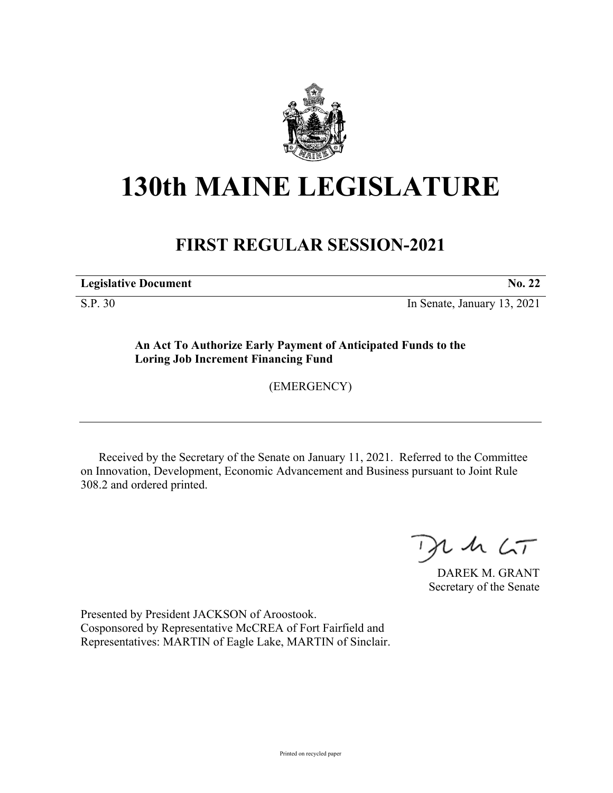

## **130th MAINE LEGISLATURE**

## **FIRST REGULAR SESSION-2021**

**Legislative Document No. 22**

S.P. 30 In Senate, January 13, 2021

**An Act To Authorize Early Payment of Anticipated Funds to the Loring Job Increment Financing Fund**

(EMERGENCY)

Received by the Secretary of the Senate on January 11, 2021. Referred to the Committee on Innovation, Development, Economic Advancement and Business pursuant to Joint Rule 308.2 and ordered printed.

 $125$ 

DAREK M. GRANT Secretary of the Senate

Presented by President JACKSON of Aroostook. Cosponsored by Representative McCREA of Fort Fairfield and Representatives: MARTIN of Eagle Lake, MARTIN of Sinclair.